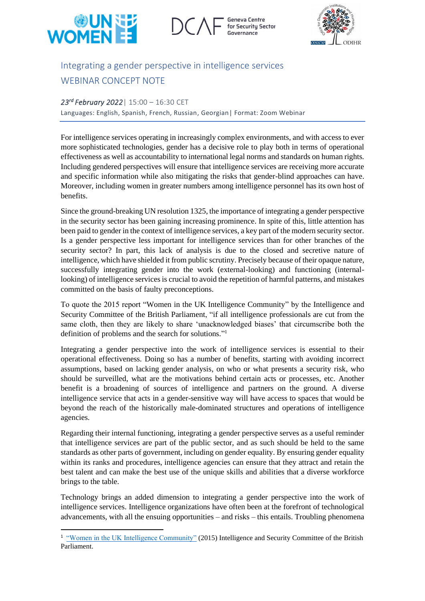

Geneva Centre for Security Sector



## Integrating a gender perspective in intelligence services WEBINAR CONCEPT NOTE

## *23rd February 2022*| 15:00 – 16:30 CET

Languages: English, Spanish, French, Russian, Georgian| Format: Zoom Webinar

For intelligence services operating in increasingly complex environments, and with access to ever more sophisticated technologies, gender has a decisive role to play both in terms of operational effectiveness as well as accountability to international legal norms and standards on human rights. Including gendered perspectives will ensure that intelligence services are receiving more accurate and specific information while also mitigating the risks that gender-blind approaches can have. Moreover, including women in greater numbers among intelligence personnel has its own host of benefits.

Since the ground-breaking UN resolution 1325, the importance of integrating a gender perspective in the security sector has been gaining increasing prominence. In spite of this, little attention has been paid to gender in the context of intelligence services, a key part of the modern security sector. Is a gender perspective less important for intelligence services than for other branches of the security sector? In part, this lack of analysis is due to the closed and secretive nature of intelligence, which have shielded it from public scrutiny. Precisely because of their opaque nature, successfully integrating gender into the work (external-looking) and functioning (internallooking) of intelligence services is crucial to avoid the repetition of harmful patterns, and mistakes committed on the basis of faulty preconceptions.

To quote the 2015 report "Women in the UK Intelligence Community" by the Intelligence and Security Committee of the British Parliament, "if all intelligence professionals are cut from the same cloth, then they are likely to share 'unacknowledged biases' that circumscribe both the definition of problems and the search for solutions." 1

Integrating a gender perspective into the work of intelligence services is essential to their operational effectiveness. Doing so has a number of benefits, starting with avoiding incorrect assumptions, based on lacking gender analysis, on who or what presents a security risk, who should be surveilled, what are the motivations behind certain acts or processes, etc. Another benefit is a broadening of sources of intelligence and partners on the ground. A diverse intelligence service that acts in a gender-sensitive way will have access to spaces that would be beyond the reach of the historically male-dominated structures and operations of intelligence agencies.

Regarding their internal functioning, integrating a gender perspective serves as a useful reminder that intelligence services are part of the public sector, and as such should be held to the same standards as other parts of government, including on gender equality. By ensuring gender equality within its ranks and procedures, intelligence agencies can ensure that they attract and retain the best talent and can make the best use of the unique skills and abilities that a diverse workforce brings to the table.

Technology brings an added dimension to integrating a gender perspective into the work of intelligence services. Intelligence organizations have often been at the forefront of technological advancements, with all the ensuing opportunities – and risks – this entails. Troubling phenomena

<sup>&</sup>lt;sup>1</sup> ["Women in the UK Intelligence Community"](https://www.secretintelligenceservice.org/wp-content/uploads/2015/07/Women-in-the-UK-Intelligence-Community.pdf) (2015) Intelligence and Security Committee of the British Parliament.